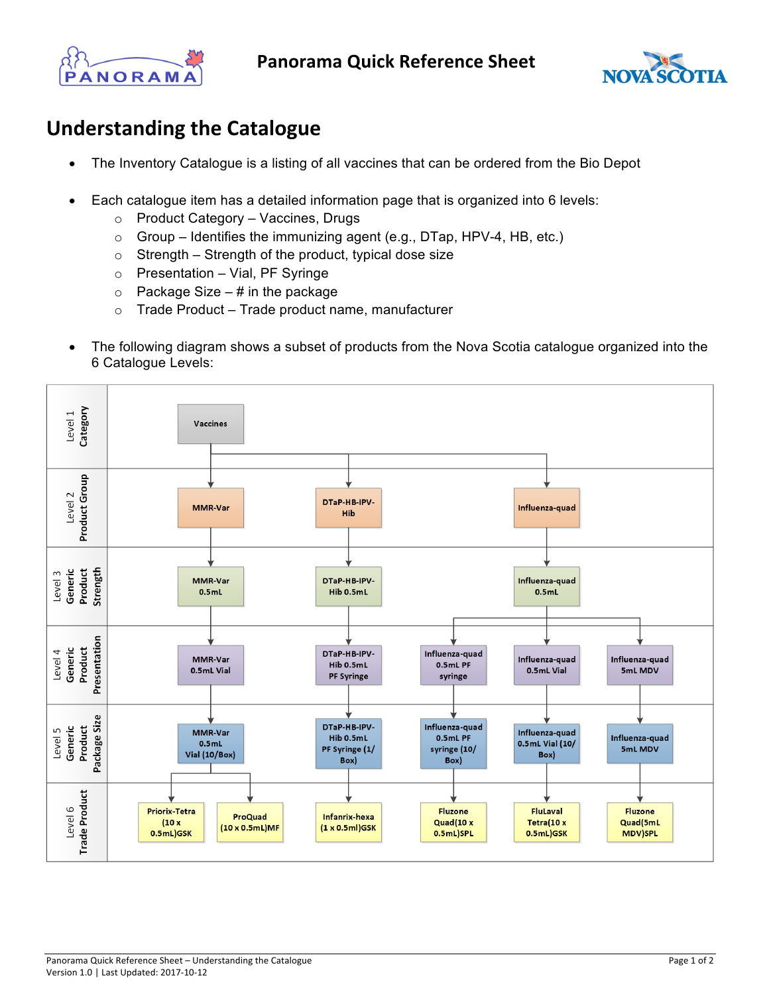



## **Understanding the Catalogue**

- The Inventory Catalogue is a listing of all vaccines that can be ordered from the Bio Depot
- Each catalogue item has a detailed information page that is organized into 6 levels:
	- o Product Category Vaccines, Drugs
	- o Group Identifies the immunizing agent (e.g., DTap, HPV-4, HB, etc.)
	- o Strength Strength of the product, typical dose size
	- o Presentation Vial, PF Syringe
	- $\circ$  Package Size # in the package
	- $\circ$  Trade Product Trade product name, manufacturer
- The following diagram shows a subset of products from the Nova Scotia catalogue organized into the 6 Catalogue Levels: